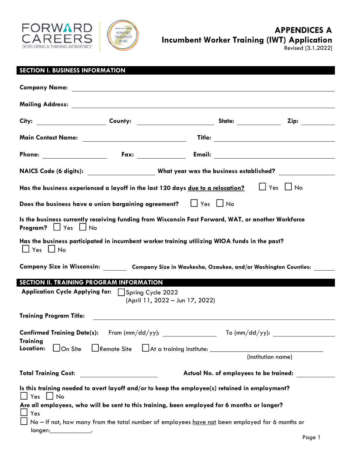

Revised [3.1.2022]

|  |  |  |  | <b>SECTION I. BUSINESS INFORMATION</b> |  |  |  |
|--|--|--|--|----------------------------------------|--|--|--|
|  |  |  |  |                                        |  |  |  |

| <b>Company Name:</b>                           | <u> 1989 - Johann Barbara, martin amerikan basal dan berasal dalam basal dan berasal dalam basal dalam basal dala</u> |                                        |                      |
|------------------------------------------------|-----------------------------------------------------------------------------------------------------------------------|----------------------------------------|----------------------|
|                                                |                                                                                                                       |                                        |                      |
| City:                                          | ___________________________County: ___________________________State: ________________Zip: __________                  |                                        |                      |
|                                                |                                                                                                                       |                                        |                      |
|                                                |                                                                                                                       |                                        |                      |
|                                                |                                                                                                                       |                                        |                      |
|                                                | Has the business experienced a layoff in the last 120 days due to a relocation?                                       |                                        | $\Box$ Yes $\Box$ No |
|                                                | Does the business have a union bargaining agreement? $\Box$ Yes $\Box$ No                                             |                                        |                      |
| <b>Program?</b> $\Box$ Yes $\Box$ No           | Is the business currently receiving funding from Wisconsin Fast Forward, WAT, or another Workforce                    |                                        |                      |
| $\Box$ Yes $\Box$ No                           | Has the business participated in incumbent worker training utilizing WIOA funds in the past?                          |                                        |                      |
|                                                | Company Size in Wisconsin: Company Size in Waukesha, Ozaukee, and/or Washington Counties:                             |                                        |                      |
| SECTION II. TRAINING PROGRAM INFORMATION       |                                                                                                                       |                                        |                      |
|                                                | Application Cycle Applying for:   Spring Cycle 2022<br>(April 11, 2022 - Jun 17, 2022)                                |                                        |                      |
| <b>Training Program Title:</b>                 | <u> 1989 - Jan Samuel Barbara, martin a shekara tsara 1989 - An tsara 1989 - An tsara 1989 - An tsara 1989 - An t</u> |                                        |                      |
|                                                |                                                                                                                       |                                        |                      |
| <b>Training</b><br>$\Box$ On Site<br>Location: |                                                                                                                       |                                        |                      |
|                                                |                                                                                                                       |                                        | (institution name)   |
| <b>Total Training Cost:</b>                    |                                                                                                                       | Actual No. of employees to be trained: |                      |
| Yes $\Box$ No                                  | Is this training needed to avert layoff and/or to keep the employee(s) retained in employment?                        |                                        |                      |
| Yes                                            | Are all employees, who will be sent to this training, been employed for 6 months or longer?                           |                                        |                      |
|                                                | No - If not, how many from the total number of employees have not been employed for 6 months or                       |                                        |                      |
| longer:                                        |                                                                                                                       |                                        |                      |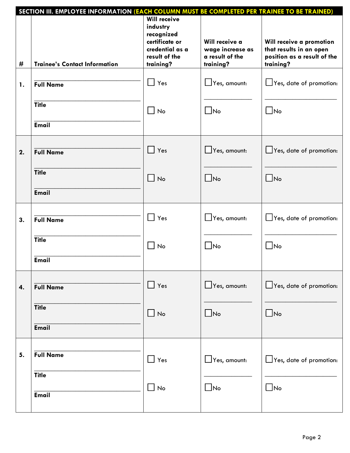|    | SECTION III. EMPLOYEE INFORMATION (EACH COLUMN MUST BE COMPLETED PER TRAINEE TO BE TRAINED) |                                                                                                                  |                                                                    |                                                                                                 |
|----|---------------------------------------------------------------------------------------------|------------------------------------------------------------------------------------------------------------------|--------------------------------------------------------------------|-------------------------------------------------------------------------------------------------|
| #  | <b>Trainee's Contact Information</b>                                                        | <b>Will receive</b><br>industry<br>recognized<br>certificate or<br>credential as a<br>result of the<br>training? | Will receive a<br>wage increase as<br>a result of the<br>training? | Will receive a promotion<br>that results in an open<br>position as a result of the<br>training? |
| 1. | <b>Full Name</b>                                                                            | $\Box$ Yes                                                                                                       | $\Box$ Yes, amount:                                                | Yes, date of promotion:                                                                         |
|    | <b>Title</b>                                                                                | No<br>$\Box$                                                                                                     | $\Box$ No                                                          | $\Box$ No                                                                                       |
|    | <b>Email</b>                                                                                |                                                                                                                  |                                                                    |                                                                                                 |
| 2. | <b>Full Name</b>                                                                            | Yes<br>$\mathbf{I}$                                                                                              | $\Box$ Yes, amount:                                                | Yes, date of promotion:                                                                         |
|    | <b>Title</b><br><b>Email</b>                                                                | $\mathbf{I}$<br>No                                                                                               | $\Box$ No                                                          | $\Box$ No                                                                                       |
|    |                                                                                             |                                                                                                                  |                                                                    |                                                                                                 |
| 3. | <b>Full Name</b>                                                                            | Yes<br>$\mathsf{L}$                                                                                              | $\Box$ Yes, amount:                                                | $\Box$ Yes, date of promotion:                                                                  |
|    | <b>Title</b><br><b>Email</b>                                                                | No<br>$\blacksquare$                                                                                             | $\Box$ No                                                          | $\Box$ No                                                                                       |
|    |                                                                                             |                                                                                                                  |                                                                    |                                                                                                 |
| 4. | <b>Full Name</b>                                                                            | $\Box$ Yes                                                                                                       | $\Box$ Yes, amount:                                                | Yes, date of promotion:                                                                         |
|    | <b>Title</b>                                                                                | No<br>⊔                                                                                                          | $\Box$ No                                                          | $\Box$ No                                                                                       |
|    | <b>Email</b>                                                                                |                                                                                                                  |                                                                    |                                                                                                 |
| 5. | <b>Full Name</b><br><b>Title</b>                                                            | Yes<br>$\blacksquare$                                                                                            | $\Box$ Yes, amount:                                                | Yes, date of promotion:                                                                         |
|    | <b>Email</b>                                                                                | $\Box$ No                                                                                                        | $\square$ No                                                       | $\Box$ No                                                                                       |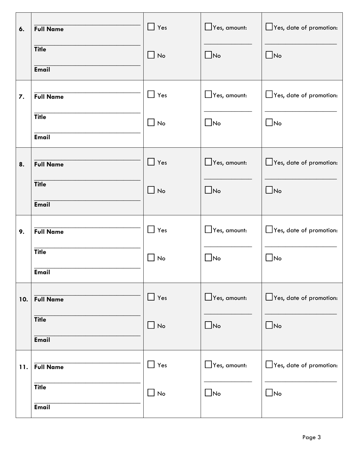| 6.  | <b>Full Name</b>             | $\Box$ Yes    | $\Box$ Yes, amount: | Yes, date of promotion:        |
|-----|------------------------------|---------------|---------------------|--------------------------------|
|     | <b>Title</b><br><b>Email</b> | $\Box$ No     | $\Box$ No           | $\Box$ No                      |
|     |                              |               |                     |                                |
| 7.  | <b>Full Name</b>             | $\Box$<br>Yes | $\Box$ Yes, amount: | $\Box$ Yes, date of promotion: |
|     | <b>Title</b>                 | $\Box$ No     | $\square$ No        | $\Box$ No                      |
|     | <b>Email</b>                 |               |                     |                                |
| 8.  | <b>Full Name</b>             | $\Box$ Yes    | $\Box$ Yes, amount: | $\Box$ Yes, date of promotion: |
|     | <b>Title</b>                 | $\Box$ No     | $\Box$ No           | $\Box$ No                      |
|     | <b>Email</b>                 |               |                     |                                |
| 9.  | <b>Full Name</b>             | $\Box$ Yes    | $\Box$ Yes, amount: | $\Box$ Yes, date of promotion: |
|     | <b>Title</b>                 | $\Box$ No     | $\Box$ No           | $\Box$ No                      |
|     | <b>Email</b>                 |               |                     |                                |
| 10. | <b>Full Name</b>             | $\Box$ Yes    | $\Box$ Yes, amount: | Yes, date of promotion:        |
|     | <b>Title</b>                 | $\Box$ No     | $\Box$ No           | $\Box$ No                      |
|     | <b>Email</b>                 |               |                     |                                |
|     |                              |               |                     |                                |
| 11. | <b>Full Name</b>             | $\Box$ Yes    | $\Box$ Yes, amount: | Yes, date of promotion:        |
|     | <b>Title</b>                 | $\Box$ No     | $\Box$ No           | $\Box$ No                      |
|     | <b>Email</b>                 |               |                     |                                |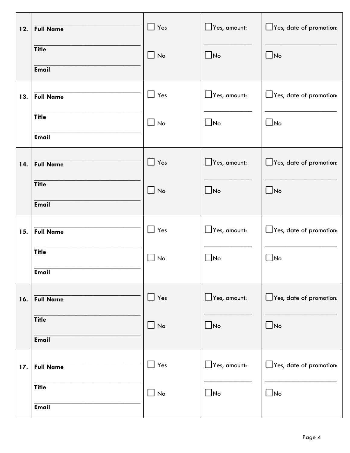| 12. | <b>Full Name</b>             | $\Box$ Yes    | $\Box$ Yes, amount: | Yes, date of promotion:        |
|-----|------------------------------|---------------|---------------------|--------------------------------|
|     | <b>Title</b><br><b>Email</b> | $\Box$ No     | $\Box$ No           | $\Box$ No                      |
|     |                              |               |                     |                                |
| 13. | <b>Full Name</b>             | $\Box$<br>Yes | $\Box$ Yes, amount: | $\Box$ Yes, date of promotion: |
|     | <b>Title</b>                 | $\Box$ No     | $\square$ No        | $\Box$ No                      |
|     | <b>Email</b>                 |               |                     |                                |
| 14. | <b>Full Name</b>             | $\Box$ Yes    | Yes, amount:        | $\Box$ Yes, date of promotion: |
|     | <b>Title</b>                 | $\Box$ No     | $\Box$ No           | $\Box$ No                      |
|     | <b>Email</b>                 |               |                     |                                |
| 15. | <b>Full Name</b>             | $\Box$ Yes    | $\Box$ Yes, amount: | $\Box$ Yes, date of promotion: |
|     | <b>Title</b>                 | $\Box$ No     | $\Box$ No           | $\Box$ No                      |
|     | <b>Email</b>                 |               |                     |                                |
| 16. | <b>Full Name</b>             | $\Box$ Yes    | $\Box$ Yes, amount: | Yes, date of promotion:        |
|     | <b>Title</b>                 | $\Box$ No     | $\Box$ No           | $\Box$ No                      |
|     | <b>Email</b>                 |               |                     |                                |
| 17. | <b>Full Name</b>             | $\Box$ Yes    | $\Box$ Yes, amount: | Yes, date of promotion:        |
|     | <b>Title</b>                 | $\Box$ No     | $\Box$ No           | $\Box$ No                      |
|     | <b>Email</b>                 |               |                     |                                |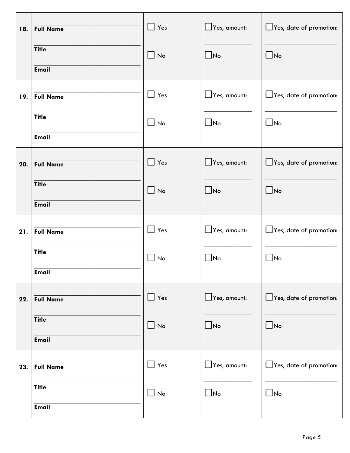| 18. | <b>Full Name</b>             | $\Box$ Yes    | $\Box$ Yes, amount: | Yes, date of promotion:        |
|-----|------------------------------|---------------|---------------------|--------------------------------|
|     | <b>Title</b><br><b>Email</b> | $\Box$ No     | $\Box$ No           | $\Box$ No                      |
|     |                              |               |                     |                                |
| 19. | <b>Full Name</b>             | $\Box$<br>Yes | $\Box$ Yes, amount: | $\Box$ Yes, date of promotion: |
|     | <b>Title</b>                 | $\Box$ No     | $\square$ No        | $\Box$ No                      |
|     | <b>Email</b>                 |               |                     |                                |
| 20. | <b>Full Name</b>             | $\Box$ Yes    | Yes, amount:        | $\Box$ Yes, date of promotion: |
|     | <b>Title</b>                 | $\Box$ No     | $\Box$ No           | $\Box$ No                      |
|     | <b>Email</b>                 |               |                     |                                |
| 21. | <b>Full Name</b>             | $\Box$ Yes    | $\Box$ Yes, amount: | $\Box$ Yes, date of promotion: |
|     | <b>Title</b>                 | $\Box$ No     | $\Box$ No           | $\Box$ No                      |
|     | <b>Email</b>                 |               |                     |                                |
| 22. | <b>Full Name</b>             | $\Box$ Yes    | $\Box$ Yes, amount: | Yes, date of promotion:        |
|     | <b>Title</b>                 | $\Box$ No     | $\Box$ No           | $\Box$ No                      |
|     | <b>Email</b>                 |               |                     |                                |
|     |                              |               |                     |                                |
| 23. | <b>Full Name</b>             | $\Box$ Yes    | $\Box$ Yes, amount: | Yes, date of promotion:        |
|     | <b>Title</b>                 | $\Box$ No     | $\Box$ No           | $\Box$ No                      |
|     | <b>Email</b>                 |               |                     |                                |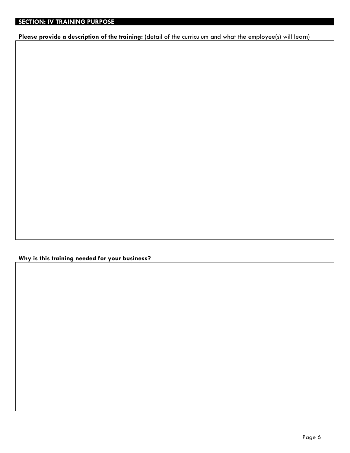# **SECTION: IV TRAINING PURPOSE**

Please provide a description of the training: (detail of the curriculum and what the employee(s) will learn)

**Why is this training needed for your business?**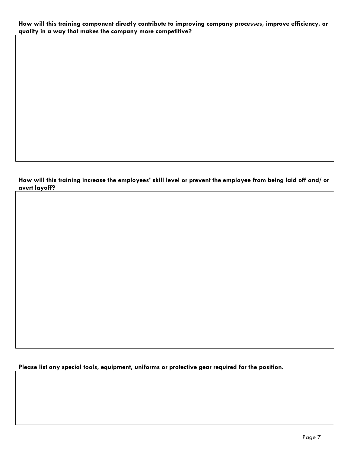# **How will this training component directly contribute to improving company processes, improve efficiency, or quality in a way that makes the company more competitive?**

How will this training increase the employees' skill level or prevent the employee from being laid off and/ or **avert layoff?**

**Please list any special tools, equipment, uniforms or protective gear required for the position.**